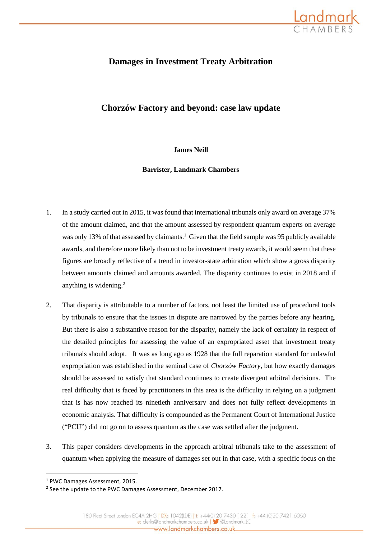

# **Damages in Investment Treaty Arbitration**

# **Chorzów Factory and beyond: case law update**

# **James Neill**

**Barrister, Landmark Chambers**

- 1. In a study carried out in 2015, it was found that international tribunals only award on average 37% of the amount claimed, and that the amount assessed by respondent quantum experts on average was only 13% of that assessed by claimants.<sup>1</sup> Given that the field sample was 95 publicly available awards, and therefore more likely than not to be investment treaty awards, it would seem that these figures are broadly reflective of a trend in investor-state arbitration which show a gross disparity between amounts claimed and amounts awarded. The disparity continues to exist in 2018 and if anything is widening. $2$
- 2. That disparity is attributable to a number of factors, not least the limited use of procedural tools by tribunals to ensure that the issues in dispute are narrowed by the parties before any hearing. But there is also a substantive reason for the disparity, namely the lack of certainty in respect of the detailed principles for assessing the value of an expropriated asset that investment treaty tribunals should adopt. It was as long ago as 1928 that the full reparation standard for unlawful expropriation was established in the seminal case of *Chorzów Factory*, but how exactly damages should be assessed to satisfy that standard continues to create divergent arbitral decisions. The real difficulty that is faced by practitioners in this area is the difficulty in relying on a judgment that is has now reached its ninetieth anniversary and does not fully reflect developments in economic analysis. That difficulty is compounded as the Permanent Court of International Justice ("PCIJ") did not go on to assess quantum as the case was settled after the judgment.
- 3. This paper considers developments in the approach arbitral tribunals take to the assessment of quantum when applying the measure of damages set out in that case, with a specific focus on the

1

<sup>1</sup> PWC Damages Assessment, 2015.

<sup>&</sup>lt;sup>2</sup> See the update to the PWC Damages Assessment, December 2017.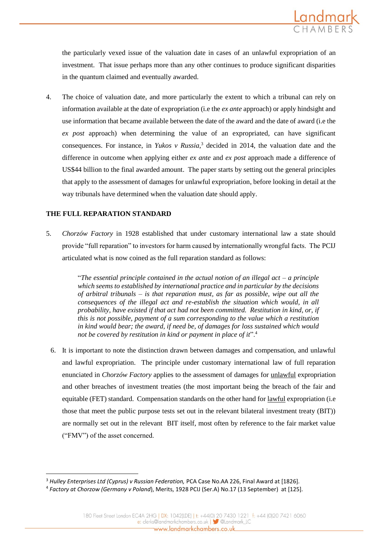

the particularly vexed issue of the valuation date in cases of an unlawful expropriation of an investment. That issue perhaps more than any other continues to produce significant disparities in the quantum claimed and eventually awarded.

4. The choice of valuation date, and more particularly the extent to which a tribunal can rely on information available at the date of expropriation (i.e the *ex ante* approach) or apply hindsight and use information that became available between the date of the award and the date of award (i.e the *ex post* approach) when determining the value of an expropriated, can have significant consequences. For instance, in *Yukos v Russia*, <sup>3</sup> decided in 2014, the valuation date and the difference in outcome when applying either *ex ante* and *ex post* approach made a difference of US\$44 billion to the final awarded amount. The paper starts by setting out the general principles that apply to the assessment of damages for unlawful expropriation, before looking in detail at the way tribunals have determined when the valuation date should apply.

# **THE FULL REPARATION STANDARD**

1

5. *Chorzów Factory* in 1928 established that under customary international law a state should provide "full reparation" to investors for harm caused by internationally wrongful facts. The PCIJ articulated what is now coined as the full reparation standard as follows:

> "*The essential principle contained in the actual notion of an illegal act – a principle which seems to established by international practice and in particular by the decisions of arbitral tribunals – is that reparation must, as far as possible, wipe out all the consequences of the illegal act and re-establish the situation which would, in all probability, have existed if that act had not been committed. Restitution in kind, or, if this is not possible, payment of a sum corresponding to the value which a restitution in kind would bear; the award, if need be, of damages for loss sustained which would not be covered by restitution in kind or payment in place of it*".<sup>4</sup>

6. It is important to note the distinction drawn between damages and compensation, and unlawful and lawful expropriation. The principle under customary international law of full reparation enunciated in *Chorzów Factory* applies to the assessment of damages for unlawful expropriation and other breaches of investment treaties (the most important being the breach of the fair and equitable (FET) standard. Compensation standards on the other hand for lawful expropriation (i.e those that meet the public purpose tests set out in the relevant bilateral investment treaty (BIT)) are normally set out in the relevant BIT itself, most often by reference to the fair market value ("FMV") of the asset concerned.

<sup>3</sup> *Hulley Enterprises Ltd (Cyprus) v Russian Federation,* PCA Case No.AA 226, Final Award at [1826].

<sup>4</sup> *Factory at Chorzow (Germany v Poland*), Merits, 1928 PCIJ (Ser.A) No.17 (13 September) at [125].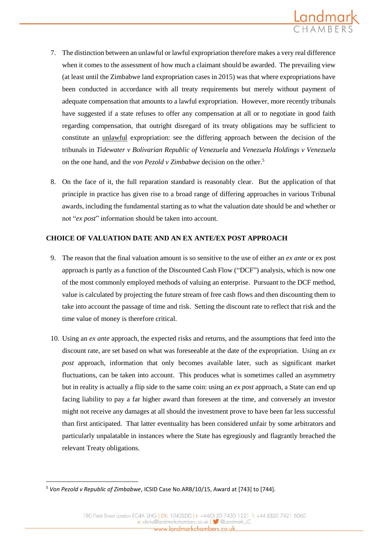

- 7. The distinction between an unlawful or lawful expropriation therefore makes a very real difference when it comes to the assessment of how much a claimant should be awarded. The prevailing view (at least until the Zimbabwe land expropriation cases in 2015) was that where expropriations have been conducted in accordance with all treaty requirements but merely without payment of adequate compensation that amounts to a lawful expropriation. However, more recently tribunals have suggested if a state refuses to offer any compensation at all or to negotiate in good faith regarding compensation, that outright disregard of its treaty obligations may be sufficient to constitute an unlawful expropriation: see the differing approach between the decision of the tribunals in *Tidewater v Bolivarian Republic of Venezuela* and *Venezuela Holdings v Venezuela* on the one hand, and the *von Pezold v Zimbabwe* decision on the other.<sup>5</sup>
- 8. On the face of it, the full reparation standard is reasonably clear. But the application of that principle in practice has given rise to a broad range of differing approaches in various Tribunal awards, including the fundamental starting as to what the valuation date should be and whether or not "*ex post*" information should be taken into account.

### **CHOICE OF VALUATION DATE AND AN EX ANTE/EX POST APPROACH**

- 9. The reason that the final valuation amount is so sensitive to the use of either an *ex ante* or ex post approach is partly as a function of the Discounted Cash Flow ("DCF") analysis, which is now one of the most commonly employed methods of valuing an enterprise. Pursuant to the DCF method, value is calculated by projecting the future stream of free cash flows and then discounting them to take into account the passage of time and risk. Setting the discount rate to reflect that risk and the time value of money is therefore critical.
- 10. Using an *ex ante* approach, the expected risks and returns, and the assumptions that feed into the discount rate, are set based on what was foreseeable at the date of the expropriation. Using an *ex post* approach, information that only becomes available later, such as significant market fluctuations, can be taken into account. This produces what is sometimes called an asymmetry but in reality is actually a flip side to the same coin: using an *ex post* approach, a State can end up facing liability to pay a far higher award than foreseen at the time, and conversely an investor might not receive any damages at all should the investment prove to have been far less successful than first anticipated. That latter eventuality has been considered unfair by some arbitrators and particularly unpalatable in instances where the State has egregiously and flagrantly breached the relevant Treaty obligations.

<sup>5</sup> *Von Pezold v Republic of Zimbabwe*, ICSID Case No.ARB/10/15, Award at [743] to [744].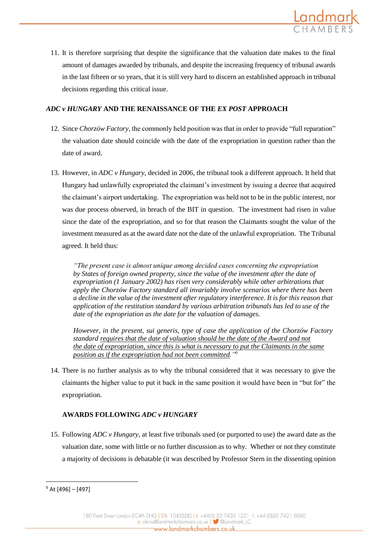

11. It is therefore surprising that despite the significance that the valuation date makes to the final amount of damages awarded by tribunals, and despite the increasing frequency of tribunal awards in the last fifteen or so years, that it is still very hard to discern an established approach in tribunal decisions regarding this critical issue.

# *ADC v HUNGARY* **AND THE RENAISSANCE OF THE** *EX POST* **APPROACH**

- 12. Since *Chorzów Factory*, the commonly held position was that in order to provide "full reparation" the valuation date should coincide with the date of the expropriation in question rather than the date of award.
- 13. However, in *ADC v Hungary*, decided in 2006, the tribunal took a different approach. It held that Hungary had unlawfully expropriated the claimant's investment by issuing a decree that acquired the claimant's airport undertaking. The expropriation was held not to be in the public interest, nor was due process observed, in breach of the BIT in question. The investment had risen in value since the date of the expropriation, and so for that reason the Claimants sought the value of the investment measured as at the award date not the date of the unlawful expropriation. The Tribunal agreed. It held thus:

*"The present case is almost unique among decided cases concerning the expropriation by States of foreign owned property, since the value of the investment after the date of expropriation (1 January 2002) has risen very considerably while other arbitrations that apply the Chorzów Factory standard all invariably involve scenarios where there has been a decline in the value of the investment after regulatory interference. It is for this reason that application of the restitution standard by various arbitration tribunals has led to use of the date of the expropriation as the date for the valuation of damages.*

*However, in the present, sui generis, type of case the application of the Chorzów Factory standard requires that the date of valuation should be the date of the Award and not the date of expropriation, since this is what is necessary to put the Claimants in the same position as if the expropriation had not been committed."<sup>6</sup>*

14. There is no further analysis as to why the tribunal considered that it was necessary to give the claimants the higher value to put it back in the same position it would have been in "but for" the expropriation.

#### **AWARDS FOLLOWING** *ADC v HUNGARY*

15. Following *ADC v Hungary*, at least five tribunals used (or purported to use) the award date as the valuation date, some with little or no further discussion as to why. Whether or not they constitute a majority of decisions is debatable (it was described by Professor Stern in the dissenting opinion

 $6$  At [496] – [497]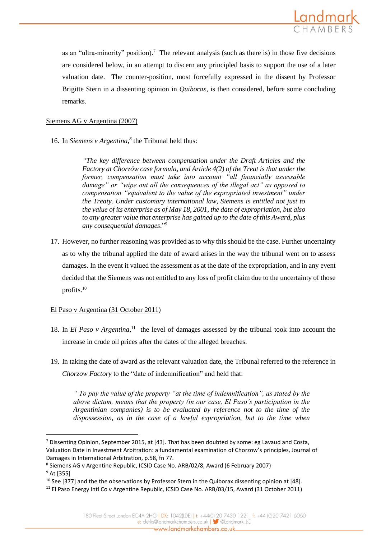

as an "ultra-minority" position).<sup>7</sup> The relevant analysis (such as there is) in those five decisions are considered below, in an attempt to discern any principled basis to support the use of a later valuation date. The counter-position, most forcefully expressed in the dissent by Professor Brigitte Stern in a dissenting opinion in *Quiborax*, is then considered, before some concluding remarks.

# Siemens AG v Argentina (2007)

16. In *Siemens v Argentina, 8* the Tribunal held thus:

*"The key difference between compensation under the Draft Articles and the Factory at Chorzów case formula, and Article 4(2) of the Treat is that under the former, compensation must take into account "all financially assessable damage" or "wipe out all the consequences of the illegal act" as opposed to compensation "equivalent to the value of the expropriated investment" under the Treaty. Under customary international law, Siemens is entitled not just to the value of its enterprise as of May 18, 2001, the date of expropriation, but also to any greater value that enterprise has gained up to the date of this Award, plus any consequential damages*." 9

17. However, no further reasoning was provided as to why this should be the case. Further uncertainty as to why the tribunal applied the date of award arises in the way the tribunal went on to assess damages. In the event it valued the assessment as at the date of the expropriation, and in any event decided that the Siemens was not entitled to any loss of profit claim due to the uncertainty of those profits. 10

# El Paso v Argentina (31 October 2011)

- 18. In *El Paso v Argentina*,<sup>11</sup> the level of damages assessed by the tribunal took into account the increase in crude oil prices after the dates of the alleged breaches.
- 19. In taking the date of award as the relevant valuation date, the Tribunal referred to the reference in *Chorzow Factory* to the "date of indemnification" and held that:

*" To pay the value of the property "at the time of indemnification", as stated by the above dictum, means that the property (in our case, El Paso's participation in the Argentinian companies) is to be evaluated by reference not to the time of the dispossession, as in the case of a lawful expropriation, but to the time when* 

8 Siemens AG v Argentine Republic, ICSID Case No. ARB/02/8, Award (6 February 2007)

 $7$  Dissenting Opinion, September 2015, at [43]. That has been doubted by some: eg Lavaud and Costa, Valuation Date in Investment Arbitration: a fundamental examination of Chorzow's principles, Journal of Damages in International Arbitration, p.58, fn 77.

<sup>9</sup> At [355]

 $10$  See [377] and the the observations by Professor Stern in the Quiborax dissenting opinion at [48].

<sup>&</sup>lt;sup>11</sup> El Paso Energy Intl Co v Argentine Republic, ICSID Case No. ARB/03/15, Award (31 October 2011)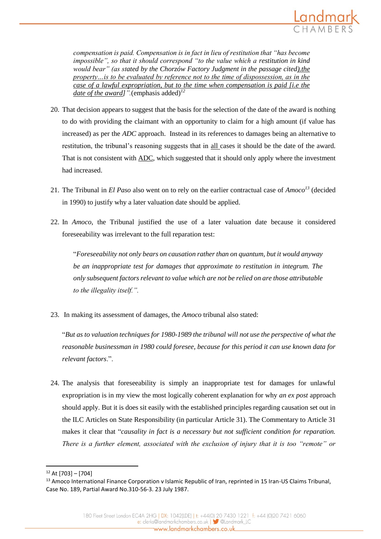

*compensation is paid. Compensation is in fact in lieu of restitution that "has become impossible", so that it should correspond "to the value which a restitution in kind would bear" (as stated by the Chorzów Factory Judgment in the passage cited).the property…is to be evaluated by reference not to the time of dispossession, as in the case of a lawful expropriation, but to the time when compensation is paid [i.e the date of the award]".*(emphasis added)*<sup>12</sup>*

- 20. That decision appears to suggest that the basis for the selection of the date of the award is nothing to do with providing the claimant with an opportunity to claim for a high amount (if value has increased) as per the *ADC* approach. Instead in its references to damages being an alternative to restitution, the tribunal's reasoning suggests that in all cases it should be the date of the award. That is not consistent with ADC, which suggested that it should only apply where the investment had increased.
- 21. The Tribunal in *El Paso* also went on to rely on the earlier contractual case of *Amoco<sup>13</sup>* (decided in 1990) to justify why a later valuation date should be applied.
- 22. In *Amoco*, the Tribunal justified the use of a later valuation date because it considered foreseeability was irrelevant to the full reparation test:

"*Foreseeability not only bears on causation rather than on quantum, but it would anyway be an inappropriate test for damages that approximate to restitution in integrum. The only subsequent factors relevant to value which are not be relied on are those attributable to the illegality itself.".*

23. In making its assessment of damages, the *Amoco* tribunal also stated:

"*But as to valuation techniques for 1980-1989 the tribunal will not use the perspective of what the reasonable businessman in 1980 could foresee, because for this period it can use known data for relevant factors*.".

24. The analysis that foreseeability is simply an inappropriate test for damages for unlawful expropriation is in my view the most logically coherent explanation for why *an ex post* approach should apply. But it is does sit easily with the established principles regarding causation set out in the ILC Articles on State Responsibility (in particular Article 31). The Commentary to Article 31 makes it clear that "*causality in fact is a necessary but not sufficient condition for reparation. There is a further element, associated with the exclusion of injury that it is too "remote" or* 

 $12$  At [703] – [704]

<sup>&</sup>lt;sup>13</sup> Amoco International Finance Corporation v Islamic Republic of Iran, reprinted in 15 Iran-US Claims Tribunal, Case No. 189, Partial Award No.310-56-3. 23 July 1987.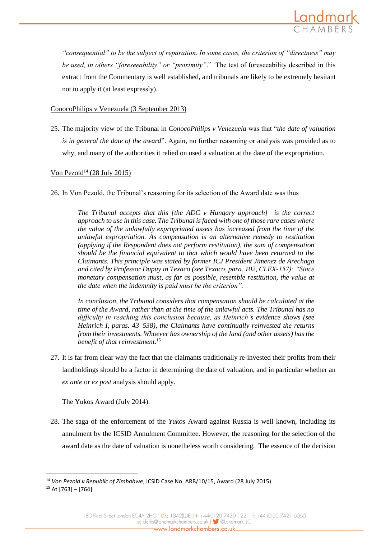

*"consequential" to be the subject of reparation. In some cases, the criterion of "directness" may be used, in others "foreseeability" or "proximity"*." The test of foreseeability described in this extract from the Commentary is well established, and tribunals are likely to be extremely hesitant not to apply it (at least expressly).

### ConocoPhilips v Venezuela (3 September 2013)

25. The majority view of the Tribunal in *ConocoPhilips v Venezuela* was that "*the date of valuation is in general the date of the award*". Again, no further reasoning or analysis was provided as to why, and many of the authorities it relied on used a valuation at the date of the expropriation.

# Von Pezold<sup>14</sup> (28 July 2015)

26. In Von Pezold, the Tribunal's reasoning for its selection of the Award date was thus

*The Tribunal accepts that this [the ADC v Hungary approach] is the correct approach to use in this case. The Tribunal is faced with one of those rare cases where the value of the unlawfully expropriated assets has increased from the time of the unlawful expropriation. As compensation is an alternative remedy to restitution (applying if the Respondent does not perform restitution), the sum of compensation should be the financial equivalent to that which would have been returned to the Claimants. This principle was stated by former ICJ President Jimenez de Arechaga and cited by Professor Dupuy in Texaco (see Texaco, para. 102, CLEX-157): "Since monetary compensation must, as far as possible, resemble restitution, the value at the date when the indemnity is paid must be the criterion".*

*In conclusion, the Tribunal considers that compensation should be calculated at the time of the Award, rather than at the time of the unlawful acts. The Tribunal has no difficulty in reaching this conclusion because, as Heinrich's evidence shows (see Heinrich I, paras. 43–538), the Claimants have continually reinvested the returns from their investments. Whoever has ownership of the land (and other assets) has the benefit of that reinvestment*. 15

27. It is far from clear why the fact that the claimants traditionally re-invested their profits from their landholdings should be a factor in determining the date of valuation, and in particular whether an *ex ante* or *ex post* analysis should apply.

The Yukos Award (July 2014).

28. The saga of the enforcement of the *Yukos* Award against Russia is well known, including its annulment by the ICSID Annulment Committee. However, the reasoning for the selection of the award date as the date of valuation is nonetheless worth considering. The essence of the decision

 $15$  At [763] – [764]

1

<sup>14</sup> *Von Pezold v Republic of Zimbabwe*, ICSID Case No. ARB/10/15, Award (28 July 2015)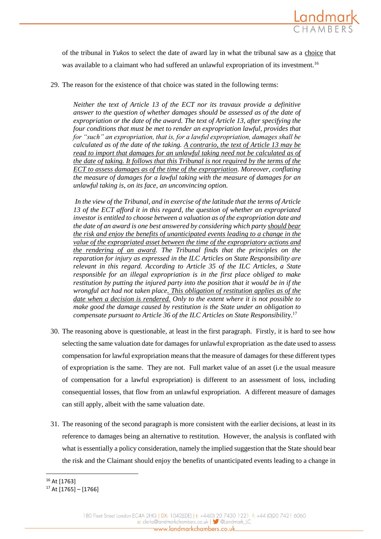

of the tribunal in *Yukos* to select the date of award lay in what the tribunal saw as a choice that was available to a claimant who had suffered an unlawful expropriation of its investment.<sup>16</sup>

29. The reason for the existence of that choice was stated in the following terms:

*Neither the text of Article 13 of the ECT nor its travaux provide a definitive answer to the question of whether damages should be assessed as of the date of expropriation or the date of the award. The text of Article 13, after specifying the four conditions that must be met to render an expropriation lawful, provides that for "such" an expropriation, that is, for a lawful expropriation, damages shall be calculated as of the date of the taking. A contrario, the text of Article 13 may be read to import that damages for an unlawful taking need not be calculated as of the date of taking. It follows that this Tribunal is not required by the terms of the ECT to assess damages as of the time of the expropriation. Moreover, conflating the measure of damages for a lawful taking with the measure of damages for an unlawful taking is, on its face, an unconvincing option.*

*In the view of the Tribunal, and in exercise of the latitude that the terms of Article 13 of the ECT afford it in this regard, the question of whether an expropriated investor is entitled to choose between a valuation as of the expropriation date and the date of an award is one best answered by considering which party should bear the risk and enjoy the benefits of unanticipated events leading to a change in the value of the expropriated asset between the time of the expropriatory actions and the rendering of an award. The Tribunal finds that the principles on the reparation for injury as expressed in the ILC Articles on State Responsibility are relevant in this regard. According to Article 35 of the ILC Articles, a State responsible for an illegal expropriation is in the first place obliged to make restitution by putting the injured party into the position that it would be in if the wrongful act had not taken place. This obligation of restitution applies as of the date when a decision is rendered. Only to the extent where it is not possible to make good the damage caused by restitution is the State under an obligation to compensate pursuant to Article 36 of the ILC Articles on State Responsibilit*y.<sup>17</sup>

- 30. The reasoning above is questionable, at least in the first paragraph. Firstly, it is hard to see how selecting the same valuation date for damages for unlawful expropriation as the date used to assess compensation for lawful expropriation means that the measure of damages for these different types of expropriation is the same. They are not. Full market value of an asset (i.e the usual measure of compensation for a lawful expropriation) is different to an assessment of loss, including consequential losses, that flow from an unlawful expropriation. A different measure of damages can still apply, albeit with the same valuation date.
- 31. The reasoning of the second paragraph is more consistent with the earlier decisions, at least in its reference to damages being an alternative to restitution. However, the analysis is conflated with what is essentially a policy consideration, namely the implied suggestion that the State should bear the risk and the Claimant should enjoy the benefits of unanticipated events leading to a change in

<sup>1</sup> <sup>16</sup> At [1763]

 $17$  At [1765] – [1766]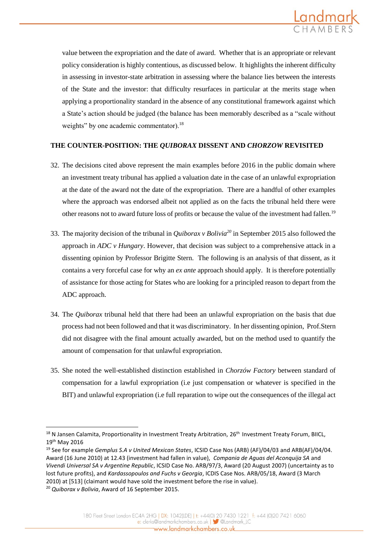

value between the expropriation and the date of award. Whether that is an appropriate or relevant policy consideration is highly contentious, as discussed below. It highlights the inherent difficulty in assessing in investor-state arbitration in assessing where the balance lies between the interests of the State and the investor: that difficulty resurfaces in particular at the merits stage when applying a proportionality standard in the absence of any constitutional framework against which a State's action should be judged (the balance has been memorably described as a "scale without weights" by one academic commentator).<sup>18</sup>

# **THE COUNTER-POSITION: THE** *QUIBORAX* **DISSENT AND** *CHORZOW* **REVISITED**

- 32. The decisions cited above represent the main examples before 2016 in the public domain where an investment treaty tribunal has applied a valuation date in the case of an unlawful expropriation at the date of the award not the date of the expropriation. There are a handful of other examples where the approach was endorsed albeit not applied as on the facts the tribunal held there were other reasons not to award future loss of profits or because the value of the investment had fallen.<sup>19</sup>
- 33. The majority decision of the tribunal in *Quiborax v Bolivia<sup>20</sup>* in September 2015 also followed the approach in *ADC v Hungary*. However, that decision was subject to a comprehensive attack in a dissenting opinion by Professor Brigitte Stern. The following is an analysis of that dissent, as it contains a very forceful case for why an *ex ante* approach should apply. It is therefore potentially of assistance for those acting for States who are looking for a principled reason to depart from the ADC approach.
- 34. The *Quiborax* tribunal held that there had been an unlawful expropriation on the basis that due process had not been followed and that it was discriminatory. In her dissenting opinion, Prof.Stern did not disagree with the final amount actually awarded, but on the method used to quantify the amount of compensation for that unlawful expropriation.
- 35. She noted the well-established distinction established in *Chorzów Factory* between standard of compensation for a lawful expropriation (i.e just compensation or whatever is specified in the BIT) and unlawful expropriation (i.e full reparation to wipe out the consequences of the illegal act

1

<sup>&</sup>lt;sup>18</sup> N Jansen Calamita, Proportionality in Investment Treaty Arbitration, 26<sup>th</sup> Investment Treaty Forum, BIICL, 19th May 2016

<sup>19</sup> See for example *Gemplus S.A v United Mexican States*, ICSID Case Nos (ARB) (AF)/04/03 and ARB(AF)/04/04. Award (16 June 2010) at 12.43 (investment had fallen in value), *Compania de Aguas del Aconquija SA* and *Vivendi Universal SA v Argentine Republic*, ICSID Case No. ARB/97/3, Award (20 August 2007) (uncertainty as to lost future profits), and *Kardassopoulos and Fuchs v Georgia*, ICDIS Case Nos. ARB/05/18, Award (3 March 2010) at [513] (claimant would have sold the investment before the rise in value).

<sup>20</sup> *Quiborax v Bolivia*, Award of 16 September 2015.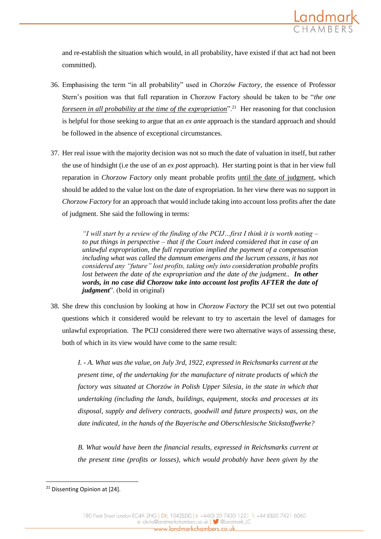

and re-establish the situation which would, in all probability, have existed if that act had not been committed).

- 36. Emphasising the term "in all probability" used in *Chorzów Factory*, the essence of Professor Stern's position was that full reparation in Chorzow Factory should be taken to be "*the one foreseen in all probability at the time of the expropriation*".<sup>21</sup> Her reasoning for that conclusion is helpful for those seeking to argue that an *ex ante* approach is the standard approach and should be followed in the absence of exceptional circumstances.
- 37. Her real issue with the majority decision was not so much the date of valuation in itself, but rather the use of hindsight (i.e the use of an *ex post* approach). Her starting point is that in her view full reparation in *Chorzow Factory* only meant probable profits until the date of judgment, which should be added to the value lost on the date of expropriation. In her view there was no support in *Chorzow Factory* for an approach that would include taking into account loss profits after the date of judgment. She said the following in terms:

*"I will start by a review of the finding of the PCIJ…first I think it is worth noting – to put things in perspective – that if the Court indeed considered that in case of an unlawful expropriation, the full reparation implied the payment of a compensation including what was called the damnum emergens and the lucrum cessans, it has not considered any "future" lost profits, taking only into consideration probable profits lost between the date of the expropriation and the date of the judgment.. In other words, in no case did Chorzow take into account lost profits AFTER the date of judgment*". (bold in original)

38. She drew this conclusion by looking at how in *Chorzow Factory* the PCIJ set out two potential questions which it considered would be relevant to try to ascertain the level of damages for unlawful expropriation. The PCIJ considered there were two alternative ways of assessing these, both of which in its view would have come to the same result:

*I. - A. What was the value, on July 3rd, 1922, expressed in Reichsmarks current at the present time, of the undertaking for the manufacture of nitrate products of which the factory was situated at Chorzów in Polish Upper Silesia, in the state in which that undertaking (including the lands, buildings, equipment, stocks and processes at its disposal, supply and delivery contracts, goodwill and future prospects) was, on the date indicated, in the hands of the Bayerische and Oberschlesische Stickstoffwerke?*

*B. What would have been the financial results, expressed in Reichsmarks current at the present time (profits or losses), which would probably have been given by the* 

<sup>&</sup>lt;sup>21</sup> Dissenting Opinion at [24].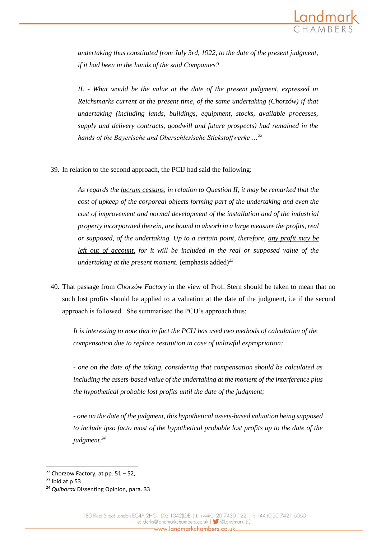

*undertaking thus constituted from July 3rd, 1922, to the date of the present judgment, if it had been in the hands of the said Companies?*

*II. - What would be the value at the date of the present judgment, expressed in Reichsmarks current at the present time, of the same undertaking (Chorzów) if that undertaking (including lands, buildings, equipment, stocks, available processes, supply and delivery contracts, goodwill and future prospects) had remained in the hands of the Bayerische and Oberschlesische Stickstoffwerke …<sup>22</sup>*

39. In relation to the second approach, the PCIJ had said the following:

*As regards the lucrum cessans, in relation to Question II, it may be remarked that the cost of upkeep of the corporeal objects forming part of the undertaking and even the cost of improvement and normal development of the installation and of the industrial property incorporated therein, are bound to absorb in a large measure the profits, real or supposed, of the undertaking. Up to a certain point, therefore, any profit may be left out of account, for it will be included in the real or supposed value of the undertaking at the present moment.* (emphasis added)*<sup>23</sup>*

40. That passage from *Chorzów Factory* in the view of Prof. Stern should be taken to mean that no such lost profits should be applied to a valuation at the date of the judgment, i.e if the second approach is followed. She summarised the PCIJ's approach thus:

*It is interesting to note that in fact the PCIJ has used two methods of calculation of the compensation due to replace restitution in case of unlawful expropriation:*

*- one on the date of the taking, considering that compensation should be calculated as including the assets-based value of the undertaking at the moment of the interference plus the hypothetical probable lost profits until the date of the judgment;*

*- one on the date of the judgment, this hypothetical assets-based valuation being supposed to include ipso facto most of the hypothetical probable lost profits up to the date of the judgment. 24*

<sup>&</sup>lt;sup>22</sup> Chorzow Factory, at pp.  $51 - 52$ ,

<sup>23</sup> Ibid at p.53

<sup>24</sup> *Quiborax* Dissenting Opinion, para. 33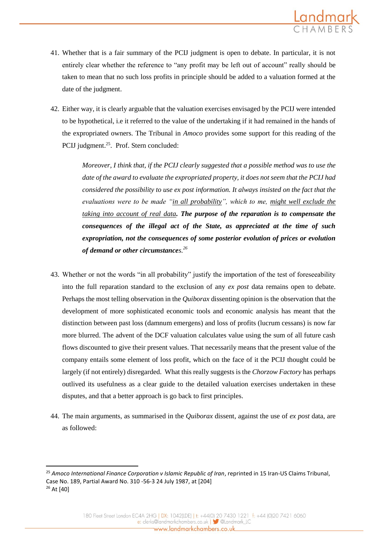- 41. Whether that is a fair summary of the PCIJ judgment is open to debate. In particular, it is not entirely clear whether the reference to "any profit may be left out of account" really should be taken to mean that no such loss profits in principle should be added to a valuation formed at the date of the judgment.
- 42. Either way, it is clearly arguable that the valuation exercises envisaged by the PCIJ were intended to be hypothetical, i.e it referred to the value of the undertaking if it had remained in the hands of the expropriated owners. The Tribunal in *Amoco* provides some support for this reading of the PCIJ judgment.<sup>25</sup>. Prof. Stern concluded:

*Moreover, I think that, if the PCIJ clearly suggested that a possible method was to use the date of the award to evaluate the expropriated property, it does not seem that the PCIJ had considered the possibility to use ex post information. It always insisted on the fact that the evaluations were to be made "in all probability", which to me, might well exclude the taking into account of real data. The purpose of the reparation is to compensate the consequences of the illegal act of the State, as appreciated at the time of such expropriation, not the consequences of some posterior evolution of prices or evolution of demand or other circumstances.<sup>26</sup>*

- 43. Whether or not the words "in all probability" justify the importation of the test of foreseeability into the full reparation standard to the exclusion of any *ex post* data remains open to debate. Perhaps the most telling observation in the *Quiborax* dissenting opinion is the observation that the development of more sophisticated economic tools and economic analysis has meant that the distinction between past loss (damnum emergens) and loss of profits (lucrum cessans) is now far more blurred. The advent of the DCF valuation calculates value using the sum of all future cash flows discounted to give their present values. That necessarily means that the present value of the company entails some element of loss profit, which on the face of it the PCIJ thought could be largely (if not entirely) disregarded. What this really suggests is the *Chorzow Factory* has perhaps outlived its usefulness as a clear guide to the detailed valuation exercises undertaken in these disputes, and that a better approach is go back to first principles.
- 44. The main arguments, as summarised in the *Quiborax* dissent, against the use of *ex post* data, are as followed:

<sup>25</sup> *Amoco International Finance Corporation v Islamic Republic of Iran*, reprinted in 15 Iran-US Claims Tribunal, Case No. 189, Partial Award No. 310 -56-3 24 July 1987, at [204] <sup>26</sup> At [40]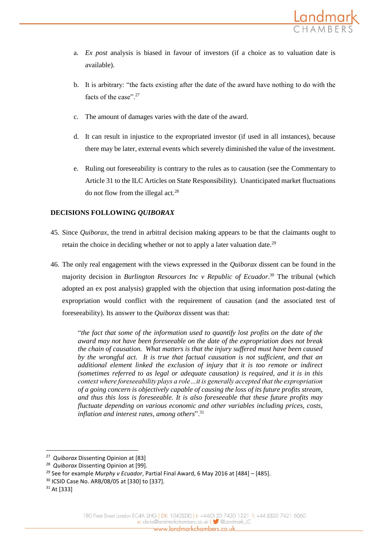

- a. *Ex post* analysis is biased in favour of investors (if a choice as to valuation date is available).
- b. It is arbitrary: "the facts existing after the date of the award have nothing to do with the facts of the case"<sup>27</sup>
- c. The amount of damages varies with the date of the award.
- d. It can result in injustice to the expropriated investor (if used in all instances), because there may be later, external events which severely diminished the value of the investment.
- e. Ruling out foreseeability is contrary to the rules as to causation (see the Commentary to Article 31 to the ILC Articles on State Responsibility). Unanticipated market fluctuations do not flow from the illegal act.<sup>28</sup>

# **DECISIONS FOLLOWING** *QUIBORAX*

- 45. Since *Quiborax*, the trend in arbitral decision making appears to be that the claimants ought to retain the choice in deciding whether or not to apply a later valuation date.<sup>29</sup>
- 46. The only real engagement with the views expressed in the *Quiborax* dissent can be found in the majority decision in *Burlington Resources Inc v Republic of Ecuador*. <sup>30</sup> The tribunal (which adopted an ex post analysis) grappled with the objection that using information post-dating the expropriation would conflict with the requirement of causation (and the associated test of foreseeability). Its answer to the *Quiborax* dissent was that:

"*the fact that some of the information used to quantify lost profits on the date of the award may not have been foreseeable on the date of the expropriation does not break the chain of causation. What matters is that the injury suffered must have been caused by the wrongful act. It is true that factual causation is not sufficient, and that an additional element linked the exclusion of injury that it is too remote or indirect (sometimes referred to as legal or adequate causation) is required, and it is in this context where foreseeability plays a role…it is generally accepted that the expropriation of a going concern is objectively capable of causing the loss of its future profits stream, and thus this loss is foreseeable. It is also foreseeable that these future profits may fluctuate depending on various economic and other variables including prices, costs, inflation and interest rates, among others*".<sup>31</sup>

<sup>27</sup> *Quiborax* Dissenting Opinion at [83]

<sup>28</sup> *Quiborax* Dissenting Opinion at [99].

<sup>29</sup> See for example *Murphy v Ecuador*, Partial Final Award, 6 May 2016 at [484] – [485].

<sup>30</sup> ICSID Case No. ARB/08/05 at [330] to [337].

<sup>&</sup>lt;sup>31</sup> At [333]